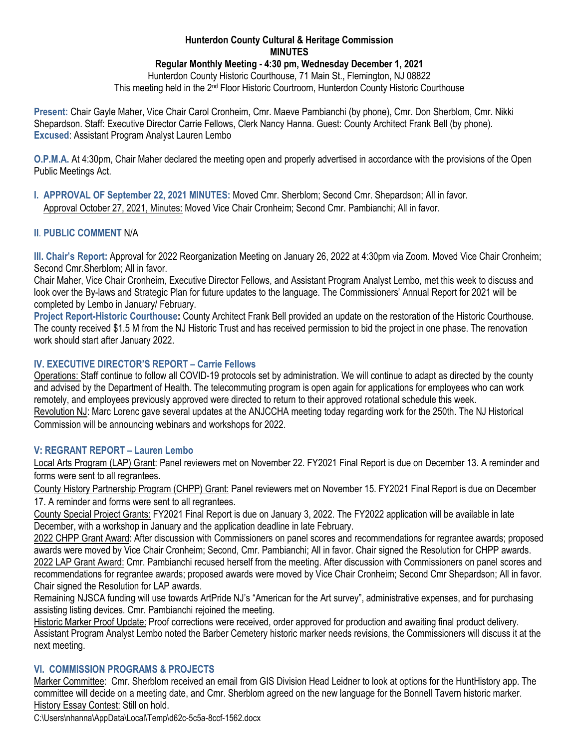### **Hunterdon County Cultural & Heritage Commission MINUTES Regular Monthly Meeting - 4:30 pm, Wednesday December 1, 2021** Hunterdon County Historic Courthouse, 71 Main St., Flemington, NJ 08822 This meeting held in the 2nd Floor Historic Courtroom, Hunterdon County Historic Courthouse

**Present:** Chair Gayle Maher, Vice Chair Carol Cronheim, Cmr. Maeve Pambianchi (by phone), Cmr. Don Sherblom, Cmr. Nikki Shepardson. Staff: Executive Director Carrie Fellows, Clerk Nancy Hanna. Guest: County Architect Frank Bell (by phone). **Excused**: Assistant Program Analyst Lauren Lembo

**O.P.M.A.** At 4:30pm, Chair Maher declared the meeting open and properly advertised in accordance with the provisions of the Open Public Meetings Act.

**I. APPROVAL OF September 22, 2021 MINUTES:** Moved Cmr. Sherblom; Second Cmr. Shepardson; All in favor. Approval October 27, 2021, Minutes: Moved Vice Chair Cronheim; Second Cmr. Pambianchi; All in favor.

# **II**. **PUBLIC COMMENT** N/A

**III. Chair's Report:** Approval for 2022 Reorganization Meeting on January 26, 2022 at 4:30pm via Zoom. Moved Vice Chair Cronheim; Second Cmr.Sherblom; All in favor.

Chair Maher, Vice Chair Cronheim, Executive Director Fellows, and Assistant Program Analyst Lembo, met this week to discuss and look over the By-laws and Strategic Plan for future updates to the language. The Commissioners' Annual Report for 2021 will be completed by Lembo in January/ February.

**Project Report-Historic Courthouse:** County Architect Frank Bell provided an update on the restoration of the Historic Courthouse. The county received \$1.5 M from the NJ Historic Trust and has received permission to bid the project in one phase. The renovation work should start after January 2022.

# **IV. EXECUTIVE DIRECTOR'S REPORT – Carrie Fellows**

Operations: Staff continue to follow all COVID-19 protocols set by administration. We will continue to adapt as directed by the county and advised by the Department of Health. The telecommuting program is open again for applications for employees who can work remotely, and employees previously approved were directed to return to their approved rotational schedule this week. Revolution NJ: Marc Lorenc gave several updates at the ANJCCHA meeting today regarding work for the 250th. The NJ Historical Commission will be announcing webinars and workshops for 2022.

### **V: REGRANT REPORT – Lauren Lembo**

Local Arts Program (LAP) Grant: Panel reviewers met on November 22. FY2021 Final Report is due on December 13. A reminder and forms were sent to all regrantees.

County History Partnership Program (CHPP) Grant: Panel reviewers met on November 15. FY2021 Final Report is due on December 17. A reminder and forms were sent to all regrantees.

County Special Project Grants: FY2021 Final Report is due on January 3, 2022. The FY2022 application will be available in late December, with a workshop in January and the application deadline in late February.

2022 CHPP Grant Award: After discussion with Commissioners on panel scores and recommendations for regrantee awards; proposed awards were moved by Vice Chair Cronheim; Second, Cmr. Pambianchi; All in favor. Chair signed the Resolution for CHPP awards. 2022 LAP Grant Award: Cmr. Pambianchi recused herself from the meeting. After discussion with Commissioners on panel scores and recommendations for regrantee awards; proposed awards were moved by Vice Chair Cronheim; Second Cmr Shepardson; All in favor. Chair signed the Resolution for LAP awards.

Remaining NJSCA funding will use towards ArtPride NJ's "American for the Art survey", administrative expenses, and for purchasing assisting listing devices. Cmr. Pambianchi rejoined the meeting.

Historic Marker Proof Update: Proof corrections were received, order approved for production and awaiting final product delivery. Assistant Program Analyst Lembo noted the Barber Cemetery historic marker needs revisions, the Commissioners will discuss it at the next meeting.

### **VI. COMMISSION PROGRAMS & PROJECTS**

Marker Committee: Cmr. Sherblom received an email from GIS Division Head Leidner to look at options for the HuntHistory app. The committee will decide on a meeting date, and Cmr. Sherblom agreed on the new language for the Bonnell Tavern historic marker. History Essay Contest: Still on hold.

C:\Users\nhanna\AppData\Local\Temp\d62c-5c5a-8ccf-1562.docx